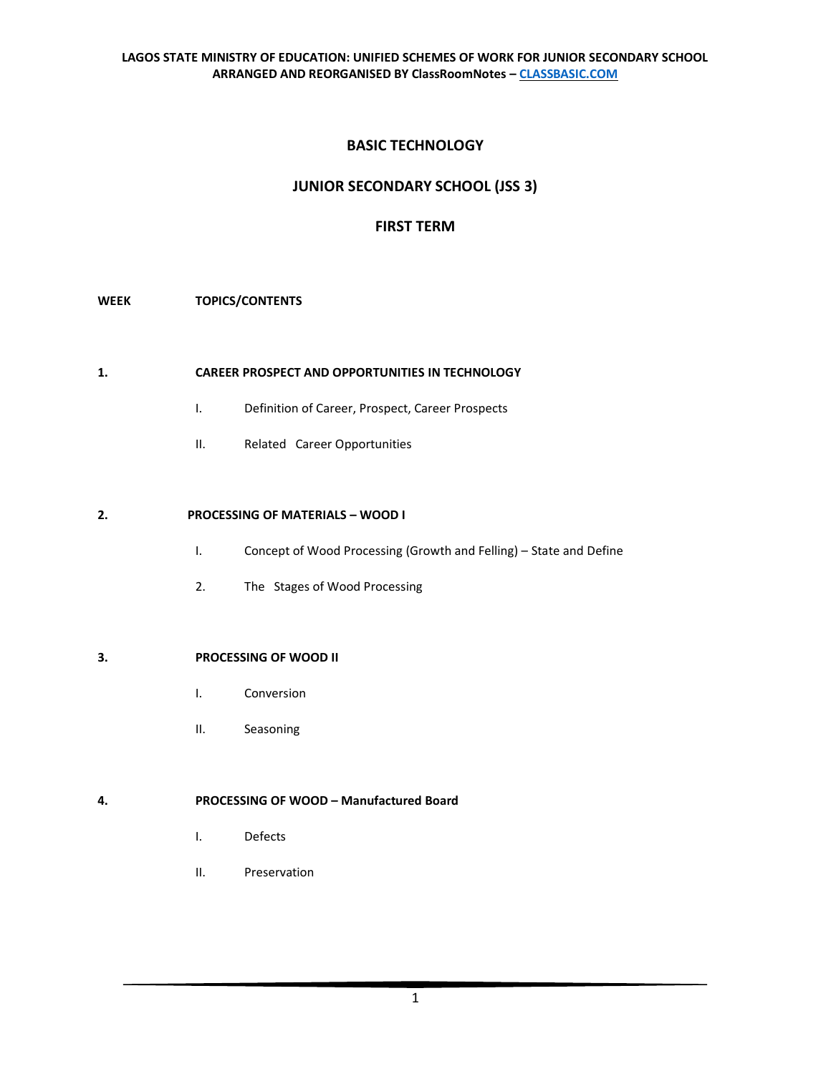# **BASIC TECHNOLOGY**

# **JUNIOR SECONDARY SCHOOL (JSS 3)**

# **FIRST TERM**

# **WEEK TOPICS/CONTENTS**

### **1. CAREER PROSPECT AND OPPORTUNITIES IN TECHNOLOGY**

- I. Definition of Career, Prospect, Career Prospects
- II. Related Career Opportunities

# **2. PROCESSING OF MATERIALS – WOOD I**

- I. Concept of Wood Processing (Growth and Felling) State and Define
- 2. The Stages of Wood Processing

## **3. PROCESSING OF WOOD II**

- I. Conversion
- II. Seasoning

# **4. PROCESSING OF WOOD – Manufactured Board**

- I. Defects
- II. Preservation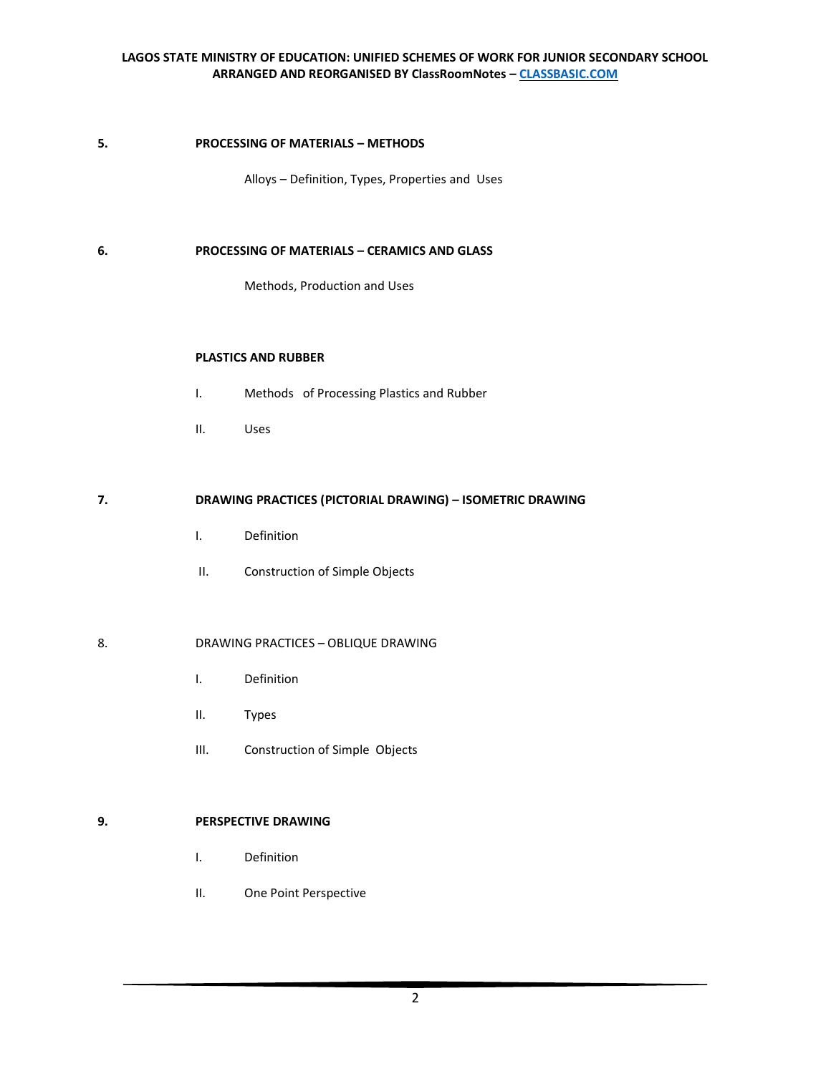#### **5. PROCESSING OF MATERIALS – METHODS**

Alloys – Definition, Types, Properties and Uses

### **6. PROCESSING OF MATERIALS – CERAMICS AND GLASS**

Methods, Production and Uses

### **PLASTICS AND RUBBER**

- I. Methods of Processing Plastics and Rubber
- II. Uses

# **7. DRAWING PRACTICES (PICTORIAL DRAWING) – ISOMETRIC DRAWING**

- I. Definition
- II. Construction of Simple Objects

### 8. DRAWING PRACTICES – OBLIQUE DRAWING

- I. Definition
- II. Types
- III. Construction of Simple Objects

# **9. PERSPECTIVE DRAWING**

- I. Definition
- II. One Point Perspective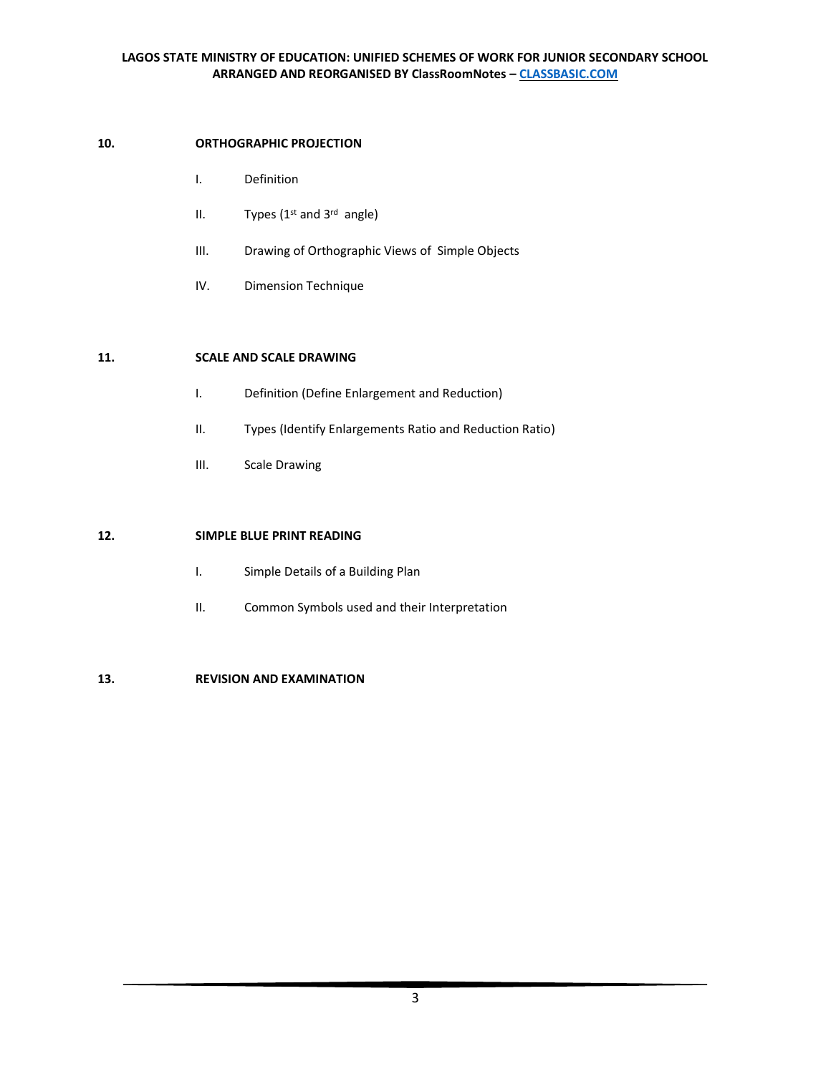## **10. ORTHOGRAPHIC PROJECTION**

- I. Definition
- II. Types ( $1<sup>st</sup>$  and  $3<sup>rd</sup>$  angle)
- III. Drawing of Orthographic Views of Simple Objects
- IV. Dimension Technique

### **11. SCALE AND SCALE DRAWING**

- I. Definition (Define Enlargement and Reduction)
- II. Types (Identify Enlargements Ratio and Reduction Ratio)
- III. Scale Drawing

## **12. SIMPLE BLUE PRINT READING**

- I. Simple Details of a Building Plan
- II. Common Symbols used and their Interpretation

# **13. REVISION AND EXAMINATION**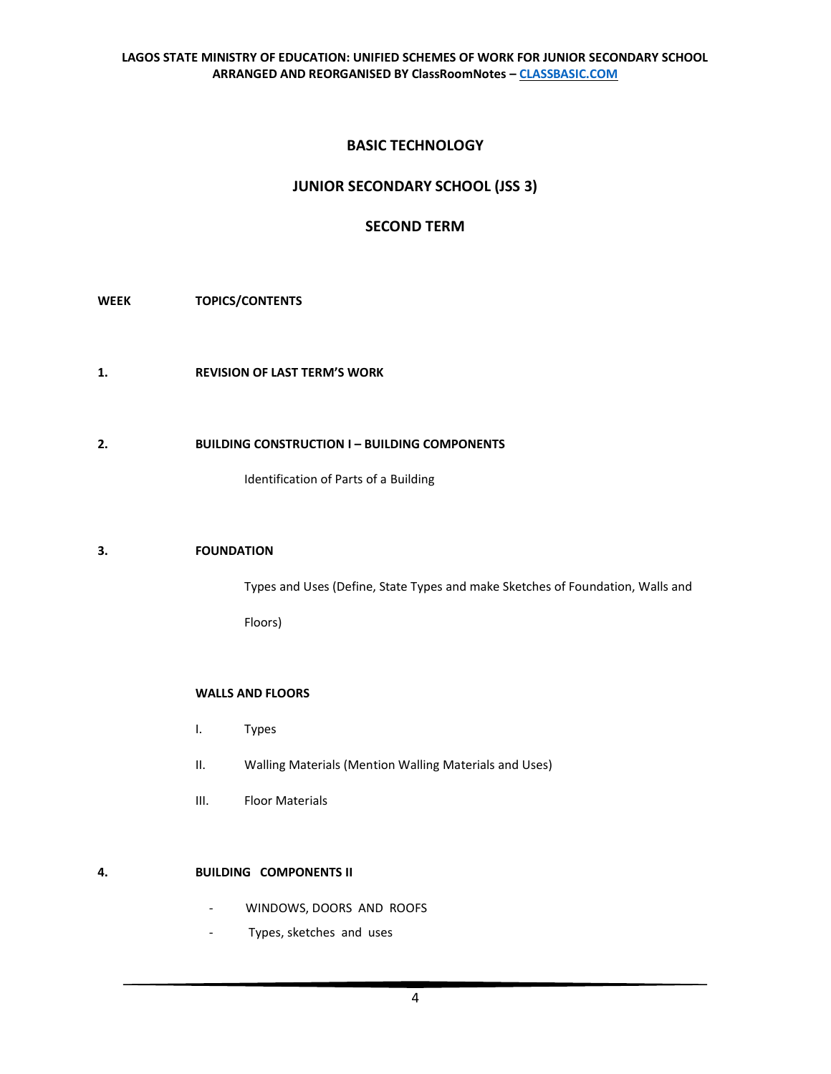# **BASIC TECHNOLOGY**

# **JUNIOR SECONDARY SCHOOL (JSS 3)**

# **SECOND TERM**

# **WEEK TOPICS/CONTENTS**

**1. REVISION OF LAST TERM'S WORK** 

# **2. BUILDING CONSTRUCTION I – BUILDING COMPONENTS**

Identification of Parts of a Building

### **3. FOUNDATION**

Types and Uses (Define, State Types and make Sketches of Foundation, Walls and

Floors)

# **WALLS AND FLOORS**

- I. Types
- II. Walling Materials (Mention Walling Materials and Uses)
- III. Floor Materials

# **4. BUILDING COMPONENTS II**

- WINDOWS, DOORS AND ROOFS
- Types, sketches and uses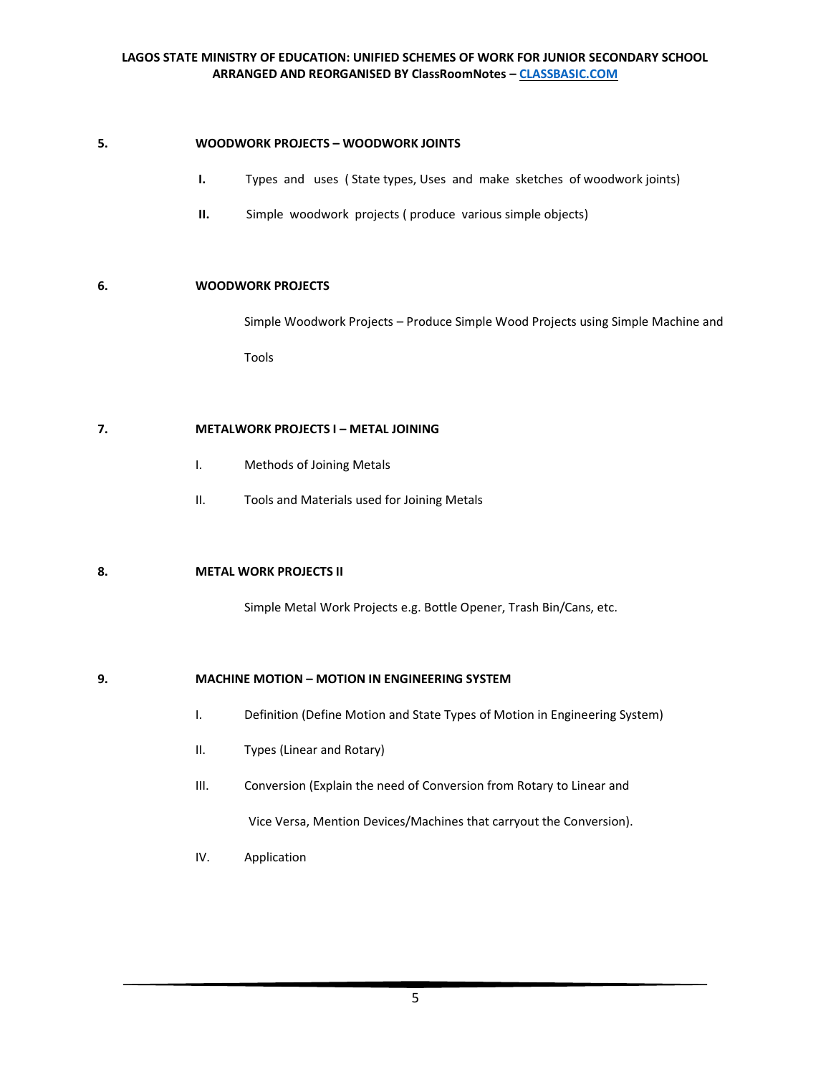### **5. WOODWORK PROJECTS – WOODWORK JOINTS**

- **I.** Types and uses ( State types, Uses and make sketches of woodwork joints)
- **II.** Simple woodwork projects (produce various simple objects)

### **6. WOODWORK PROJECTS**

Simple Woodwork Projects – Produce Simple Wood Projects using Simple Machine and

Tools

### **7. METALWORK PROJECTS I – METAL JOINING**

- I. Methods of Joining Metals
- II. Tools and Materials used for Joining Metals

## **8. METAL WORK PROJECTS II**

Simple Metal Work Projects e.g. Bottle Opener, Trash Bin/Cans, etc.

#### **9. MACHINE MOTION – MOTION IN ENGINEERING SYSTEM**

- I. Definition (Define Motion and State Types of Motion in Engineering System)
- II. Types (Linear and Rotary)
- III. Conversion (Explain the need of Conversion from Rotary to Linear and

Vice Versa, Mention Devices/Machines that carryout the Conversion).

IV. Application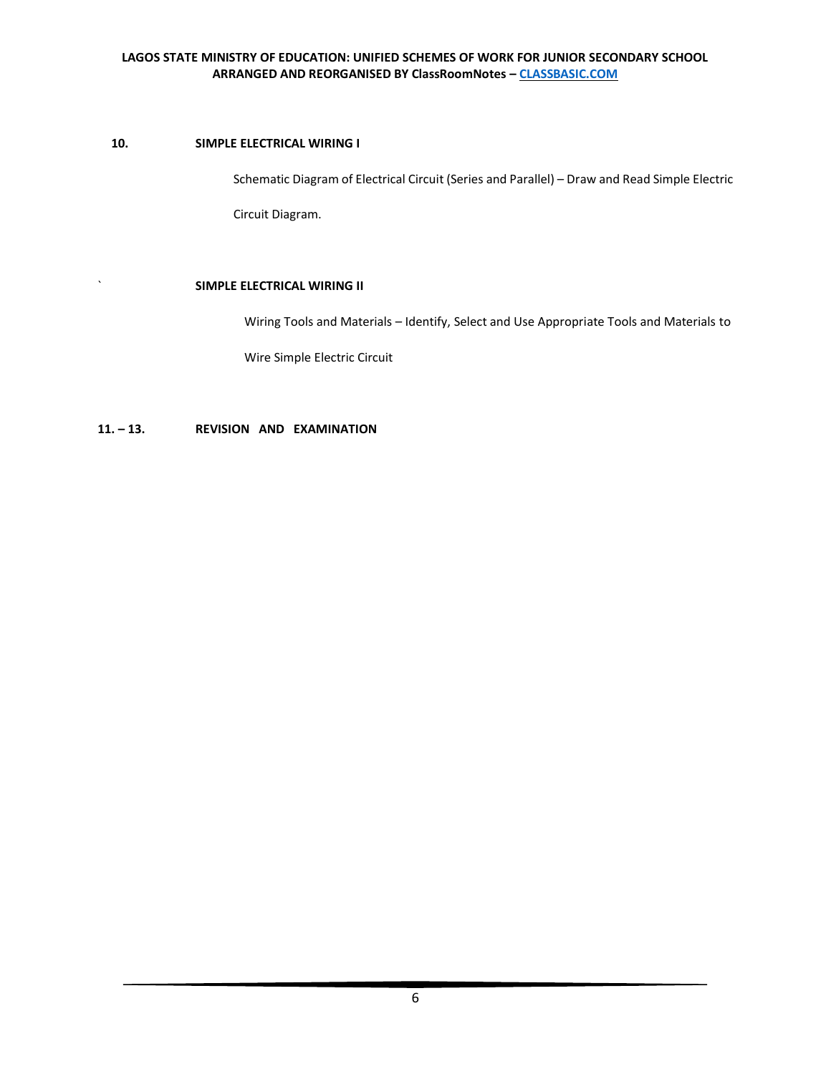# **10. SIMPLE ELECTRICAL WIRING I**

Schematic Diagram of Electrical Circuit (Series and Parallel) – Draw and Read Simple Electric

Circuit Diagram.

# ` **SIMPLE ELECTRICAL WIRING II**

Wiring Tools and Materials – Identify, Select and Use Appropriate Tools and Materials to

Wire Simple Electric Circuit

**11. – 13. REVISION AND EXAMINATION**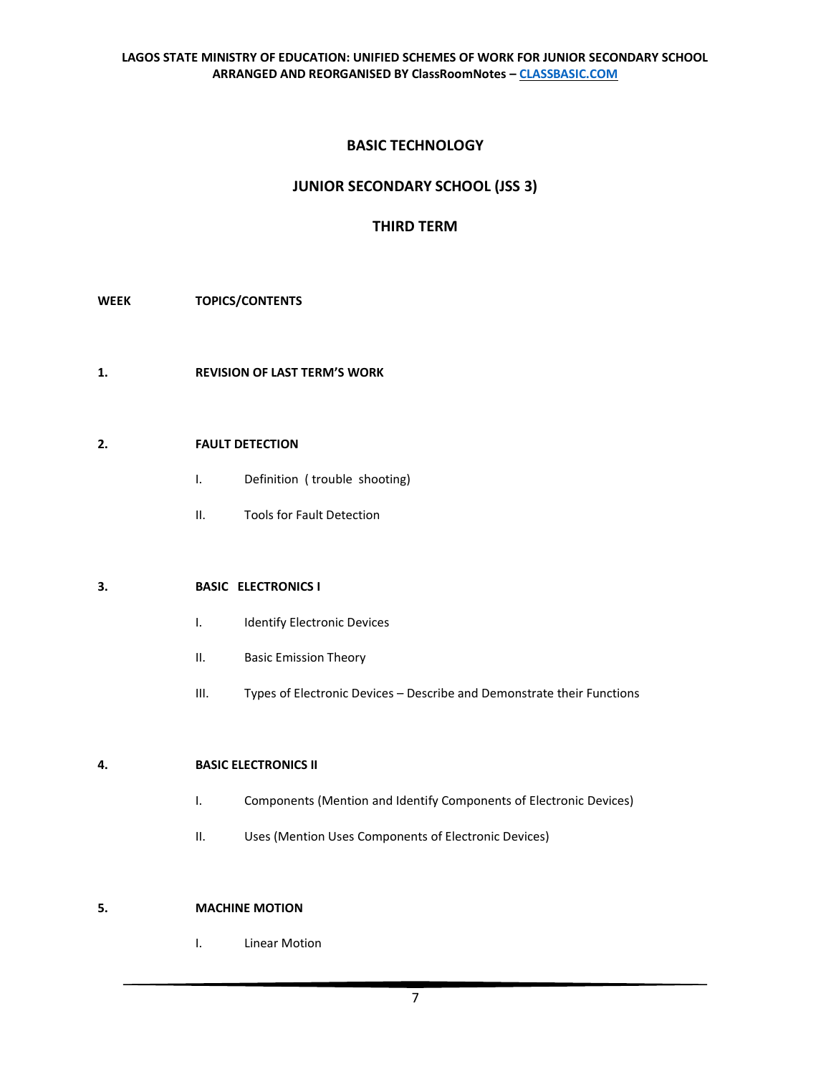# **BASIC TECHNOLOGY**

# **JUNIOR SECONDARY SCHOOL (JSS 3)**

# **THIRD TERM**

### **WEEK TOPICS/CONTENTS**

**1. REVISION OF LAST TERM'S WORK** 

### **2. FAULT DETECTION**

- I. Definition ( trouble shooting)
- II. Tools for Fault Detection

### **3. BASIC ELECTRONICS I**

- I. Identify Electronic Devices
- II. Basic Emission Theory
- III. Types of Electronic Devices Describe and Demonstrate their Functions

### **4. BASIC ELECTRONICS II**

- I. Components (Mention and Identify Components of Electronic Devices)
- II. Uses (Mention Uses Components of Electronic Devices)

### **5. MACHINE MOTION**

I. Linear Motion